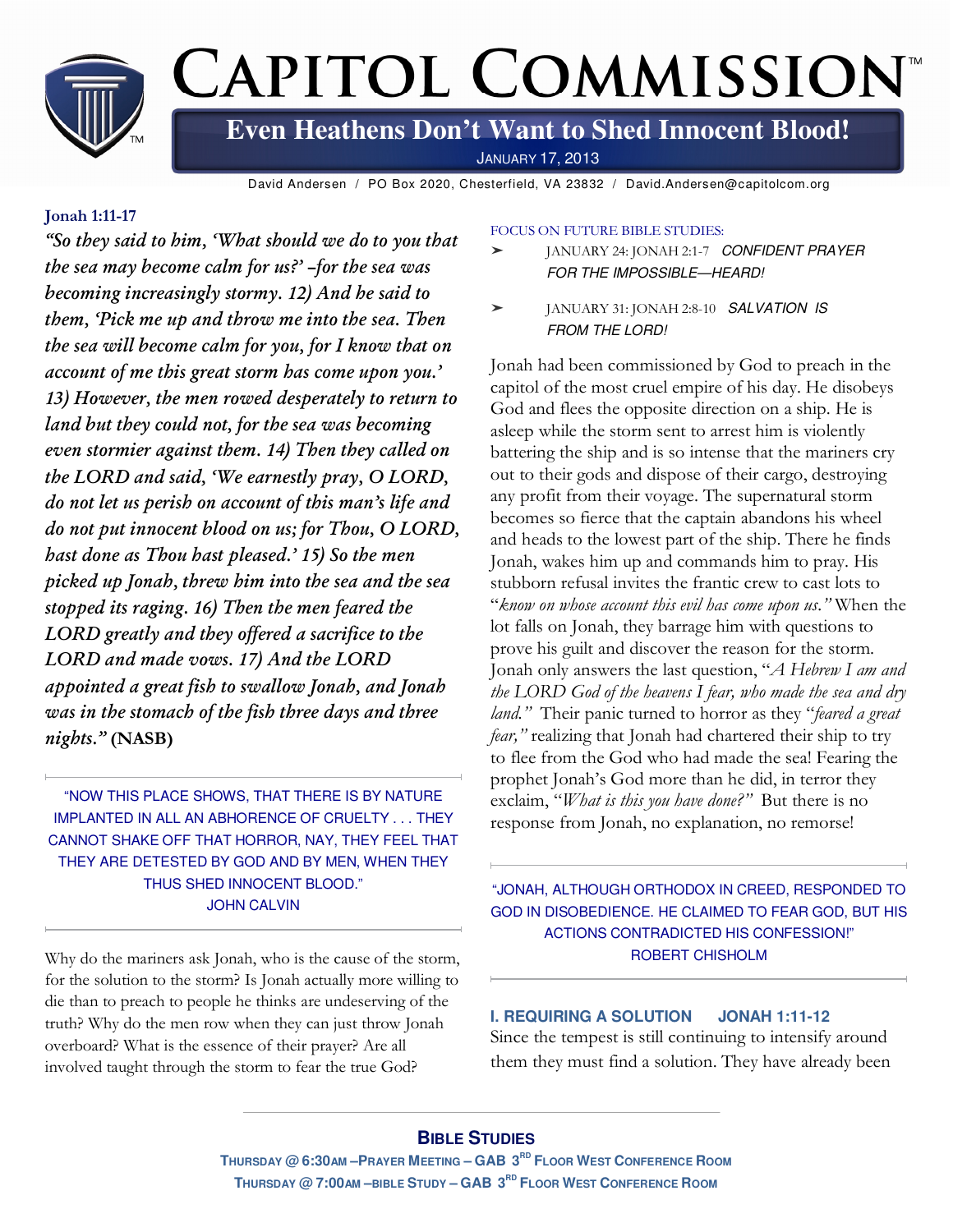

David Andersen / PO Box 2020, Chesterfield, VA 23832 / David.Andersen@capitolcom.org

#### **Jonah 1:11-17**

*"So they said to him, 'What should we do to you that the sea may become calm for us?' –for the sea was becoming increasingly stormy. 12) And he said to them, 'Pick me up and throw me into the sea. Then the sea will become calm for you, for I know that on account of me this great storm has come upon you.' 13) However, the men rowed desperately to return to land but they could not, for the sea was becoming even stormier against them. 14) Then they called on the LORD and said, 'We earnestly pray, O LORD, do not let us perish on account of this man's life and do not put innocent blood on us; for Thou, O LORD, hast done as Thou hast pleased.' 15) So the men picked up Jonah, threw him into the sea and the sea stopped its raging. 16) Then the men feared the LORD greatly and they offered a sacrifice to the LORD and made vows. 17) And the LORD appointed a great fish to swallow Jonah, and Jonah was in the stomach of the fish three days and three nights."* **(NASB)**

"NOW THIS PLACE SHOWS, THAT THERE IS BY NATURE IMPLANTED IN ALL AN ABHORENCE OF CRUELTY . . . THEY CANNOT SHAKE OFF THAT HORROR, NAY, THEY FEEL THAT THEY ARE DETESTED BY GOD AND BY MEN, WHEN THEY THUS SHED INNOCENT BLOOD." JOHN CALVIN

Why do the mariners ask Jonah, who is the cause of the storm, for the solution to the storm? Is Jonah actually more willing to die than to preach to people he thinks are undeserving of the truth? Why do the men row when they can just throw Jonah overboard? What is the essence of their prayer? Are all involved taught through the storm to fear the true God?

#### FOCUS ON FUTURE BIBLE STUDIES:

- JANUARY 24: JONAH 2:1-7 CONFIDENT PRAYER FOR THE IMPOSSIBLE—HEARD!
- ➤ JANUARY 31: JONAH 2:8-10 SALVATION IS FROM THE LORD!

Jonah had been commissioned by God to preach in the capitol of the most cruel empire of his day. He disobeys God and flees the opposite direction on a ship. He is asleep while the storm sent to arrest him is violently battering the ship and is so intense that the mariners cry out to their gods and dispose of their cargo, destroying any profit from their voyage. The supernatural storm becomes so fierce that the captain abandons his wheel and heads to the lowest part of the ship. There he finds Jonah, wakes him up and commands him to pray. His stubborn refusal invites the frantic crew to cast lots to "*know on whose account this evil has come upon us."* When the lot falls on Jonah, they barrage him with questions to prove his guilt and discover the reason for the storm. Jonah only answers the last question, "*A Hebrew I am and the LORD God of the heavens I fear, who made the sea and dry land."* Their panic turned to horror as they "*feared a great fear,"* realizing that Jonah had chartered their ship to try to flee from the God who had made the sea! Fearing the prophet Jonah's God more than he did, in terror they exclaim, "*What is this you have done?"* But there is no response from Jonah, no explanation, no remorse!

"JONAH, ALTHOUGH ORTHODOX IN CREED, RESPONDED TO GOD IN DISOBEDIENCE. HE CLAIMED TO FEAR GOD, BUT HIS ACTIONS CONTRADICTED HIS CONFESSION!" ROBERT CHISHOLM

# **I. REQUIRING A SOLUTION JONAH 1:11-12**  Since the tempest is still continuing to intensify around them they must find a solution. They have already been

# **BIBLE STUDIES**

THURSDAY @ 6:30AM - PRAYER MEETING - GAB 3<sup>RD</sup> FLOOR WEST CONFERENCE ROOM **THURSDAY @ 7:00AM –BIBLE STUDY – GAB 3 RD FLOOR WEST CONFERENCE ROOM**